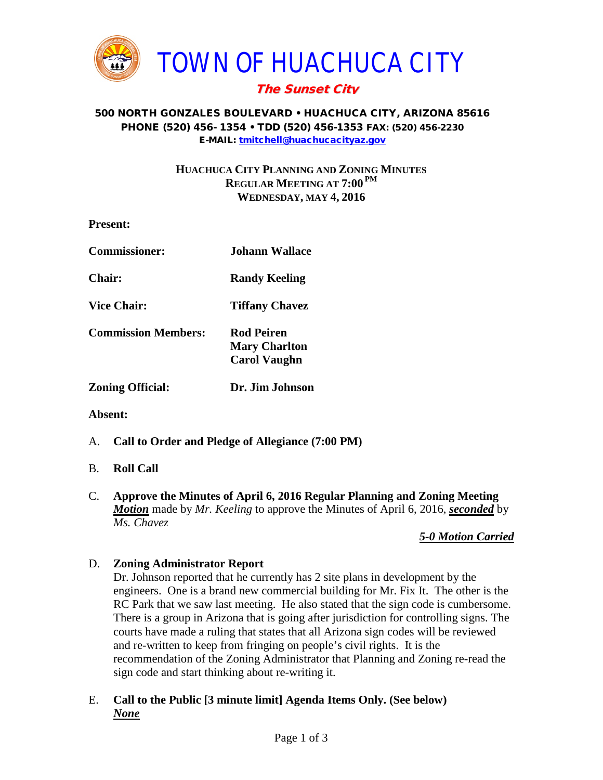

# The Sunset City

#### 500 NORTH GONZALES BOULEVARD • HUACHUCA CITY, ARIZONA 85616 PHONE (520) 456- 1354 • TDD (520) 456-1353 FAX: (520) 456-2230 E-MAIL: [tmitchell@huachucacityaz.gov](mailto:tmitchell@huachucacityaz.gov)

## **HUACHUCA CITY PLANNING AND ZONING MINUTES REGULAR MEETING AT 7:00 PM WEDNESDAY, MAY 4, 2016**

| <b>Present:</b>            |                                                           |
|----------------------------|-----------------------------------------------------------|
| <b>Commissioner:</b>       | <b>Johann Wallace</b>                                     |
| <b>Chair:</b>              | <b>Randy Keeling</b>                                      |
| <b>Vice Chair:</b>         | <b>Tiffany Chavez</b>                                     |
| <b>Commission Members:</b> | Rod Peiren<br><b>Mary Charlton</b><br><b>Carol Vaughn</b> |
| <b>Zoning Official:</b>    | Dr. Jim Johnson                                           |

**Absent:**

A. **Call to Order and Pledge of Allegiance (7:00 PM)**

## B. **Roll Call**

C. **Approve the Minutes of April 6, 2016 Regular Planning and Zoning Meeting** *Motion* made by *Mr. Keeling* to approve the Minutes of April 6, 2016, *seconded* by *Ms. Chavez*

## *5-0 Motion Carried*

## D. **Zoning Administrator Report**

Dr. Johnson reported that he currently has 2 site plans in development by the engineers. One is a brand new commercial building for Mr. Fix It. The other is the RC Park that we saw last meeting. He also stated that the sign code is cumbersome. There is a group in Arizona that is going after jurisdiction for controlling signs. The courts have made a ruling that states that all Arizona sign codes will be reviewed and re-written to keep from fringing on people's civil rights. It is the recommendation of the Zoning Administrator that Planning and Zoning re-read the sign code and start thinking about re-writing it.

E. **Call to the Public [3 minute limit] Agenda Items Only. (See below)** *None*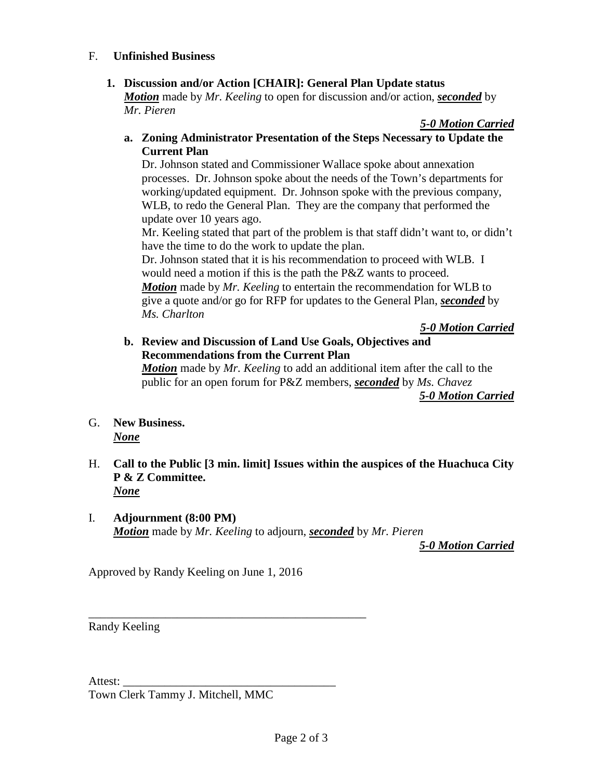#### F. **Unfinished Business**

## **1. Discussion and/or Action [CHAIR]: General Plan Update status**

*Motion* made by *Mr. Keeling* to open for discussion and/or action, *seconded* by *Mr. Pieren*

#### *5-0 Motion Carried*

**a. Zoning Administrator Presentation of the Steps Necessary to Update the Current Plan**

Dr. Johnson stated and Commissioner Wallace spoke about annexation processes. Dr. Johnson spoke about the needs of the Town's departments for working/updated equipment. Dr. Johnson spoke with the previous company, WLB, to redo the General Plan. They are the company that performed the update over 10 years ago.

Mr. Keeling stated that part of the problem is that staff didn't want to, or didn't have the time to do the work to update the plan.

Dr. Johnson stated that it is his recommendation to proceed with WLB. I would need a motion if this is the path the P&Z wants to proceed. *Motion* made by *Mr. Keeling* to entertain the recommendation for WLB to give a quote and/or go for RFP for updates to the General Plan, *seconded* by *Ms. Charlton*

*5-0 Motion Carried*

**b. Review and Discussion of Land Use Goals, Objectives and Recommendations from the Current Plan**

*Motion* made by *Mr. Keeling* to add an additional item after the call to the public for an open forum for P&Z members, *seconded* by *Ms. Chavez*

*5-0 Motion Carried*

- G. **New Business.** *None*
- H. **Call to the Public [3 min. limit] Issues within the auspices of the Huachuca City P & Z Committee.** *None*
- I. **Adjournment (8:00 PM)** *Motion* made by *Mr. Keeling* to adjourn, *seconded* by *Mr. Pieren*

*5-0 Motion Carried*

Approved by Randy Keeling on June 1, 2016

\_\_\_\_\_\_\_\_\_\_\_\_\_\_\_\_\_\_\_\_\_\_\_\_\_\_\_\_\_\_\_\_\_\_\_\_\_\_\_\_\_\_\_\_\_\_\_

Randy Keeling

Attest:

Town Clerk Tammy J. Mitchell, MMC